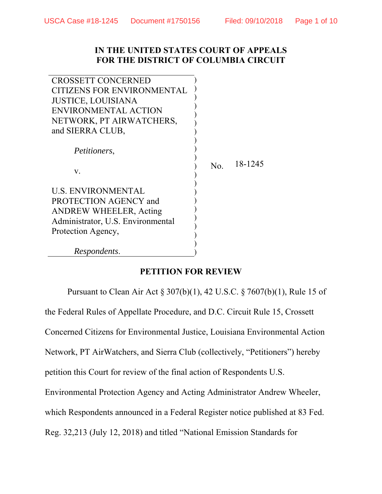## **IN THE UNITED STATES COURT OF APPEALS FOR THE DISTRICT OF COLUMBIA CIRCUIT**

| <b>CROSSETT CONCERNED</b>         |     |         |
|-----------------------------------|-----|---------|
| <b>CITIZENS FOR ENVIRONMENTAL</b> |     |         |
| <b>JUSTICE, LOUISIANA</b>         |     |         |
| ENVIRONMENTAL ACTION              |     |         |
| NETWORK, PT AIRWATCHERS,          |     |         |
| and SIERRA CLUB,                  |     |         |
|                                   |     |         |
| <i>Petitioners,</i>               |     |         |
|                                   | No. | 18-1245 |
| V.                                |     |         |
|                                   |     |         |
| <b>U.S. ENVIRONMENTAL</b>         |     |         |
| PROTECTION AGENCY and             |     |         |
| <b>ANDREW WHEELER, Acting</b>     |     |         |
| Administrator, U.S. Environmental |     |         |
| Protection Agency,                |     |         |
|                                   |     |         |
| <i>Respondents.</i>               |     |         |

## **PETITION FOR REVIEW**

Pursuant to Clean Air Act § 307(b)(1), 42 U.S.C. § 7607(b)(1), Rule 15 of the Federal Rules of Appellate Procedure, and D.C. Circuit Rule 15, Crossett Concerned Citizens for Environmental Justice, Louisiana Environmental Action Network, PT AirWatchers, and Sierra Club (collectively, "Petitioners") hereby petition this Court for review of the final action of Respondents U.S. Environmental Protection Agency and Acting Administrator Andrew Wheeler, which Respondents announced in a Federal Register notice published at 83 Fed. Reg. 32,213 (July 12, 2018) and titled "National Emission Standards for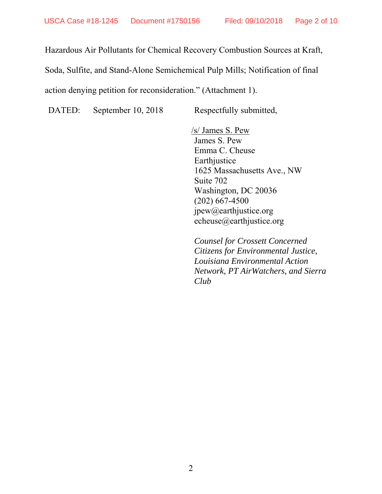Hazardous Air Pollutants for Chemical Recovery Combustion Sources at Kraft,

Soda, Sulfite, and Stand-Alone Semichemical Pulp Mills; Notification of final

action denying petition for reconsideration." (Attachment 1).

DATED: September 10, 2018 Respectfully submitted,

 /s/ James S. Pew James S. Pew Emma C. Cheuse Earthjustice 1625 Massachusetts Ave., NW Suite 702 Washington, DC 20036 (202) 667-4500 jpew@earthjustice.org echeuse@earthjustice.org

*Counsel for Crossett Concerned Citizens for Environmental Justice, Louisiana Environmental Action Network, PT AirWatchers, and Sierra Club*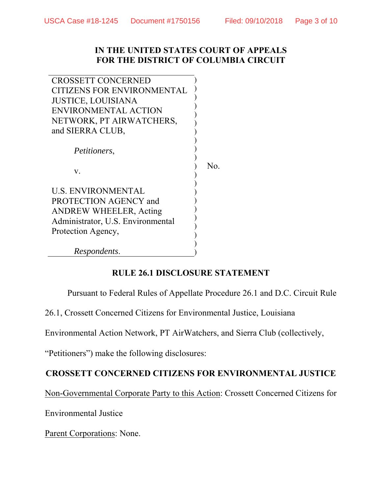## **IN THE UNITED STATES COURT OF APPEALS FOR THE DISTRICT OF COLUMBIA CIRCUIT**

| <b>CROSSETT CONCERNED</b>         |     |
|-----------------------------------|-----|
| <b>CITIZENS FOR ENVIRONMENTAL</b> |     |
| <b>JUSTICE, LOUISIANA</b>         |     |
| ENVIRONMENTAL ACTION              |     |
| NETWORK, PT AIRWATCHERS,          |     |
| and SIERRA CLUB,                  |     |
|                                   |     |
| <i>Petitioners,</i>               |     |
|                                   |     |
| V.                                | No. |
|                                   |     |
| <b>U.S. ENVIRONMENTAL</b>         |     |
| PROTECTION AGENCY and             |     |
| <b>ANDREW WHEELER, Acting</b>     |     |
| Administrator, U.S. Environmental |     |
| Protection Agency,                |     |
|                                   |     |
| Respondents.                      |     |
|                                   |     |

## **RULE 26.1 DISCLOSURE STATEMENT**

Pursuant to Federal Rules of Appellate Procedure 26.1 and D.C. Circuit Rule

26.1, Crossett Concerned Citizens for Environmental Justice, Louisiana

Environmental Action Network, PT AirWatchers, and Sierra Club (collectively,

"Petitioners") make the following disclosures:

## **CROSSETT CONCERNED CITIZENS FOR ENVIRONMENTAL JUSTICE**

Non-Governmental Corporate Party to this Action: Crossett Concerned Citizens for

Environmental Justice

Parent Corporations: None.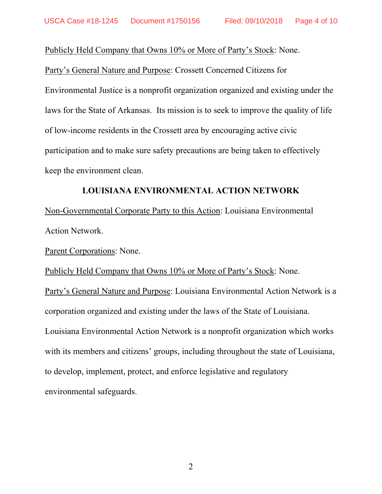Publicly Held Company that Owns 10% or More of Party's Stock: None.

Party's General Nature and Purpose: Crossett Concerned Citizens for Environmental Justice is a nonprofit organization organized and existing under the laws for the State of Arkansas. Its mission is to seek to improve the quality of life of low-income residents in the Crossett area by encouraging active civic participation and to make sure safety precautions are being taken to effectively keep the environment clean.

## **LOUISIANA ENVIRONMENTAL ACTION NETWORK**

Non-Governmental Corporate Party to this Action: Louisiana Environmental Action Network.

Parent Corporations: None.

Publicly Held Company that Owns 10% or More of Party's Stock: None. Party's General Nature and Purpose: Louisiana Environmental Action Network is a corporation organized and existing under the laws of the State of Louisiana. Louisiana Environmental Action Network is a nonprofit organization which works with its members and citizens' groups, including throughout the state of Louisiana, to develop, implement, protect, and enforce legislative and regulatory environmental safeguards.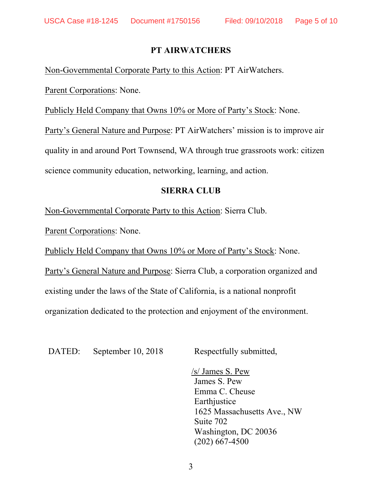## **PT AIRWATCHERS**

Non-Governmental Corporate Party to this Action: PT AirWatchers.

Parent Corporations: None.

Publicly Held Company that Owns 10% or More of Party's Stock: None.

Party's General Nature and Purpose: PT AirWatchers' mission is to improve air quality in and around Port Townsend, WA through true grassroots work: citizen science community education, networking, learning, and action.

## **SIERRA CLUB**

Non-Governmental Corporate Party to this Action: Sierra Club.

Parent Corporations: None.

Publicly Held Company that Owns 10% or More of Party's Stock: None.

Party's General Nature and Purpose: Sierra Club, a corporation organized and existing under the laws of the State of California, is a national nonprofit organization dedicated to the protection and enjoyment of the environment.

DATED: September 10, 2018 Respectfully submitted,

 /s/ James S. Pew James S. Pew Emma C. Cheuse **Earthjustice** 1625 Massachusetts Ave., NW Suite 702 Washington, DC 20036 (202) 667-4500

3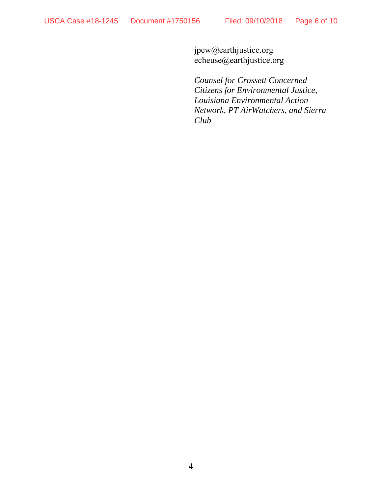jpew@earthjustice.org echeuse@earthjustice.org

*Counsel for Crossett Concerned Citizens for Environmental Justice, Louisiana Environmental Action Network, PT AirWatchers, and Sierra Club*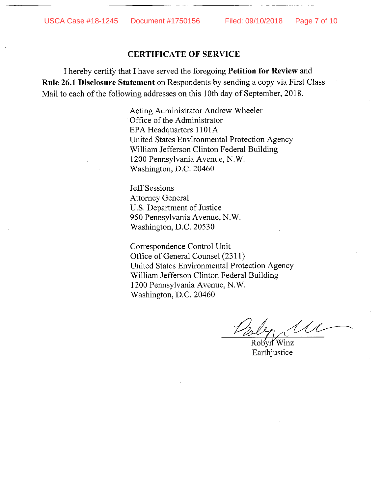### **CERTIFICATE OF SERVICE**

I hereby certify that I have served the foregoing Petition for Review and **Rule 26.1 Disclosure Statement** on Respondents by sending a copy via First Class Mail to each of the following addresses on this 10th day of September, 2018.

> Acting Administrator Andrew Wheeler Office of the Administrator EPA Headquarters 1101A United States Environmental Protection Agency William Jefferson Clinton Federal Building 1200 Pennsylvania Avenue, N.W. Washington, D.C. 20460

**Jeff Sessions Attorney General** U.S. Department of Justice 950 Pennsylvania Avenue, N.W. Washington, D.C. 20530

Correspondence Control Unit Office of General Counsel (2311) United States Environmental Protection Agency William Jefferson Clinton Federal Building 1200 Pennsylvania Avenue, N.W. Washington, D.C. 20460

Robyn Winz

Earthjustice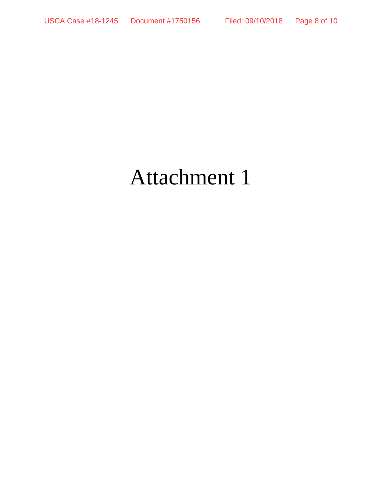# Attachment 1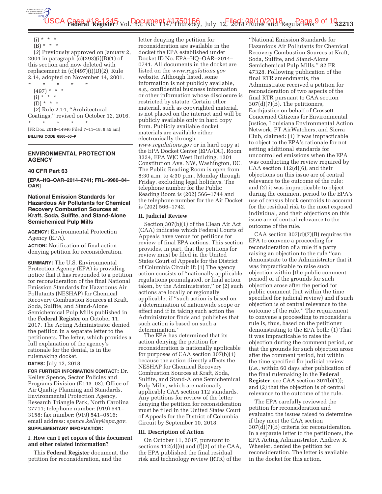USCA Case #18-1245 vol. 23, WB. 13-10156, July 12, 1904 09/10/2018 egulations 9 of 192213

 $(i) * * * *$  $(B) * * * *$ 

(*2*) Previously approved on January 2, 2004 in paragraph (c)(293)(i)(B)(1) of this section and now deleted with replacement in  $(c)(497)(i)(D)(2)$ , Rule 2.14, adopted on November 14, 2001.

\* \* \* \* \* (497) \* \* \*  $(i) * * * *$  $(D) * * * *$ (*2*) Rule 2.14, ''Architectural Coatings,'' revised on October 12, 2016. \* \* \* \* \* [FR Doc. 2018–14946 Filed 7–11–18; 8:45 am]

**BILLING CODE 6560–50–P** 

### **ENVIRONMENTAL PROTECTION AGENCY**

### **40 CFR Part 63**

**[EPA–HQ–OAR–2014–0741; FRL–9980–84– OAR]** 

### **National Emission Standards for Hazardous Air Pollutants for Chemical Recovery Combustion Sources at Kraft, Soda, Sulfite, and Stand-Alone Semichemical Pulp Mills**

**AGENCY:** Environmental Protection Agency (EPA).

**ACTION:** Notification of final action denying petition for reconsideration.

**SUMMARY:** The U.S. Environmental Protection Agency (EPA) is providing notice that it has responded to a petition for reconsideration of the final National Emission Standards for Hazardous Air Pollutants (NESHAP) for Chemical Recovery Combustion Sources at Kraft, Soda, Sulfite, and Stand-Alone Semichemical Pulp Mills published in the **Federal Register** on October 11, 2017. The Acting Administrator denied the petition in a separate letter to the petitioners. The letter, which provides a full explanation of the agency's rationale for the denial, is in the rulemaking docket.

### **DATES:** July 12, 2018.

**FOR FURTHER INFORMATION CONTACT:** Dr. Kelley Spence, Sector Policies and Programs Division (E143–03), Office of Air Quality Planning and Standards, Environmental Protection Agency, Research Triangle Park, North Carolina 27711; telephone number: (919) 541– 3158; fax number: (919) 541–0516; email address: *spence.kelley@epa.gov.* 

### **SUPPLEMENTARY INFORMATION:**

### **I. How can I get copies of this document and other related information?**

This **Federal Register** document, the petition for reconsideration, and the

letter denying the petition for reconsideration are available in the docket the EPA established under Docket ID No. EPA–HQ–OAR–2014– 0741. All documents in the docket are listed on the *www.regulations.gov*  website. Although listed, some information is not publicly available, *e.g.,* confidential business information or other information whose disclosure is restricted by statute. Certain other material, such as copyrighted material, is not placed on the internet and will be publicly available only in hard copy form. Publicly available docket materials are available either electronically through *www.regulations.gov* or in hard copy at the EPA Docket Center (EPA/DC), Room 3334, EPA WJC West Building, 1301 Constitution Ave. NW, Washington, DC. The Public Reading Room is open from 8:30 a.m. to 4:30 p.m., Monday through Friday, excluding legal holidays. The telephone number for the Public Reading Room is (202) 566–1744 and the telephone number for the Air Docket is (202) 566–1742.

### **II. Judicial Review**

Section 307(b)(1) of the Clean Air Act (CAA) indicates which Federal Courts of Appeals have venue for petitions for review of final EPA actions. This section provides, in part, that the petitions for review must be filed in the United States Court of Appeals for the District of Columbia Circuit if: (1) The agency action consists of ''nationally applicable regulations promulgated, or final action taken, by the Administrator,'' or (2) such actions are locally or regionally applicable, if ''such action is based on a determination of nationwide scope or effect and if in taking such action the Administrator finds and publishes that such action is based on such a determination.''

The EPA has determined that its action denying the petition for reconsideration is nationally applicable for purposes of CAA section 307(b)(1) because the action directly affects the NESHAP for Chemical Recovery Combustion Sources at Kraft, Soda, Sulfite, and Stand-Alone Semichemical Pulp Mills, which are nationally applicable CAA section 112 standards. Any petitions for review of the letter denying the petition for reconsideration must be filed in the United States Court of Appeals for the District of Columbia Circuit by September 10, 2018.

### **III. Description of Action**

On October 11, 2017, pursuant to sections  $112(d)(6)$  and  $(f)(2)$  of the CAA, the EPA published the final residual risk and technology review (RTR) of the

''National Emission Standards for Hazardous Air Pollutants for Chemical Recovery Combustion Sources at Kraft, Soda, Sulfite, and Stand-Alone Semichemical Pulp Mills.'' 82 FR 47328. Following publication of the final RTR amendments, the Administrator received a petition for reconsideration of two aspects of the final RTR pursuant to CAA section  $307(d)(7)(B)$ . The petitioners, Earthjustice on behalf of Crossett Concerned Citizens for Environmental Justice, Louisiana Environmental Action Network, PT AirWatchers, and Sierra Club, claimed: (1) It was impracticable to object to the EPA's rationale for not setting additional standards for uncontrolled emissions when the EPA was conducting the review required by CAA section 112(d)(6), and their objections on this issue are of central relevance to the outcome of the rule; and (2) it was impracticable to object during the comment period to the EPA's use of census block centroids to account for the residual risk to the most exposed individual, and their objections on this issue are of central relevance to the outcome of the rule.

CAA section 307(d)(7)(B) requires the EPA to convene a proceeding for reconsideration of a rule if a party raising an objection to the rule ''can demonstrate to the Administrator that it was impracticable to raise such objection within [the public comment period] or if the grounds for such objection arose after the period for public comment (but within the time specified for judicial review) and if such objection is of central relevance to the outcome of the rule.'' The requirement to convene a proceeding to reconsider a rule is, thus, based on the petitioner demonstrating to the EPA both: (1) That it was impracticable to raise the objection during the comment period, or that the grounds for such objection arose after the comment period, but within the time specified for judicial review (*i.e.,* within 60 days after publication of the final rulemaking in the **Federal Register**, see CAA section 307(b)(1)); and (2) that the objection is of central relevance to the outcome of the rule.

The EPA carefully reviewed the petition for reconsideration and evaluated the issues raised to determine if they meet the CAA section 307(d)(7)(B) criteria for reconsideration. In a separate letter to the petitioners, the EPA Acting Administrator, Andrew R. Wheeler, denied the petition for reconsideration. The letter is available in the docket for this action.